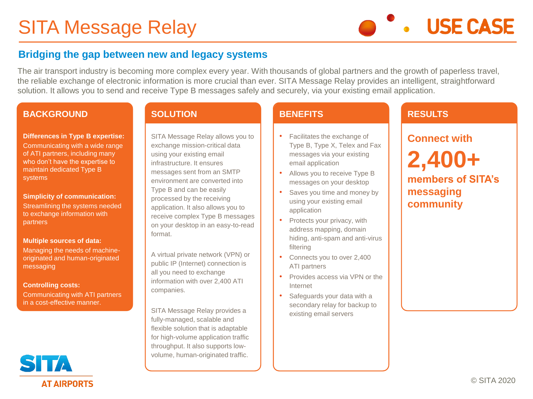# SITA Message Relay

**USE CASE** 

## **Bridging the gap between new and legacy systems**

The air transport industry is becoming more complex every year. With thousands of global partners and the growth of paperless travel, the reliable exchange of electronic information is more crucial than ever. SITA Message Relay provides an intelligent, straightforward solution. It allows you to send and receive Type B messages safely and securely, via your existing email application.

#### **BACKGROUND**

### **Differences in Type B expertise:**

Communicating with a wide range of ATI partners, including many who don't have the expertise to maintain dedicated Type B systems

**Simplicity of communication:** Streamlining the systems needed to exchange information with partners

#### **Multiple sources of data:**

Managing the needs of machineoriginated and human-originated messaging

#### **Controlling costs:**

Communicating with ATI partners in a cost-effective manner.

#### **SOLUTION**

SITA Message Relay allows you to exchange mission-critical data using your existing email infrastructure. It ensures messages sent from an SMTP environment are converted into Type B and can be easily processed by the receiving application. It also allows you to receive complex Type B messages on your desktop in an easy-to-read format.

A virtual private network (VPN) or public IP (Internet) connection is all you need to exchange information with over 2,400 ATI companies.

SITA Message Relay provides a fully-managed, scalable and flexible solution that is adaptable for high-volume application traffic throughput. It also supports lowvolume, human-originated traffic.

#### **BENEFITS**

- Facilitates the exchange of Type B, Type X, Telex and Fax messages via your existing email application
- Allows you to receive Type B messages on your desktop
- Saves you time and money by using your existing email application
- Protects your privacy, with address mapping, domain hiding, anti-spam and anti-virus filtering
- Connects you to over 2,400 ATI partners
- Provides access via VPN or the Internet
- Safeguards your data with a secondary relay for backup to existing email servers

## **RESULTS**

## **Connect with 2,400+**

**members of SITA's messaging community**